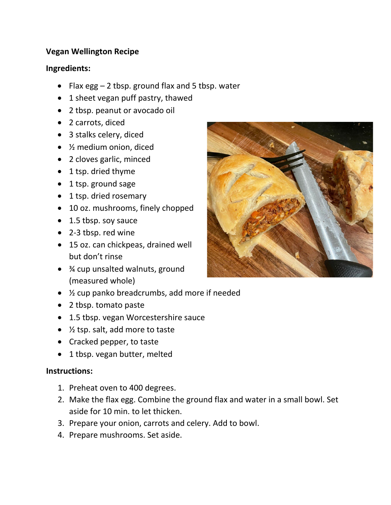## **Vegan Wellington Recipe**

## **Ingredients:**

- Flax egg 2 tbsp. ground flax and 5 tbsp. water
- 1 sheet vegan puff pastry, thawed
- 2 tbsp. peanut or avocado oil
- 2 carrots, diced
- 3 stalks celery, diced
- ½ medium onion, diced
- 2 cloves garlic, minced
- 1 tsp. dried thyme
- 1 tsp. ground sage
- 1 tsp. dried rosemary
- 10 oz. mushrooms, finely chopped
- 1.5 tbsp. soy sauce
- 2-3 tbsp. red wine
- 15 oz. can chickpeas, drained well but don't rinse
- $\frac{3}{4}$  cup unsalted walnuts, ground (measured whole)
- ½ cup panko breadcrumbs, add more if needed
- 2 tbsp. tomato paste
- 1.5 tbsp. vegan Worcestershire sauce
- ½ tsp. salt, add more to taste
- Cracked pepper, to taste
- 1 tbsp. vegan butter, melted

## **Instructions:**

- 1. Preheat oven to 400 degrees.
- 2. Make the flax egg. Combine the ground flax and water in a small bowl. Set aside for 10 min. to let thicken.
- 3. Prepare your onion, carrots and celery. Add to bowl.
- 4. Prepare mushrooms. Set aside.